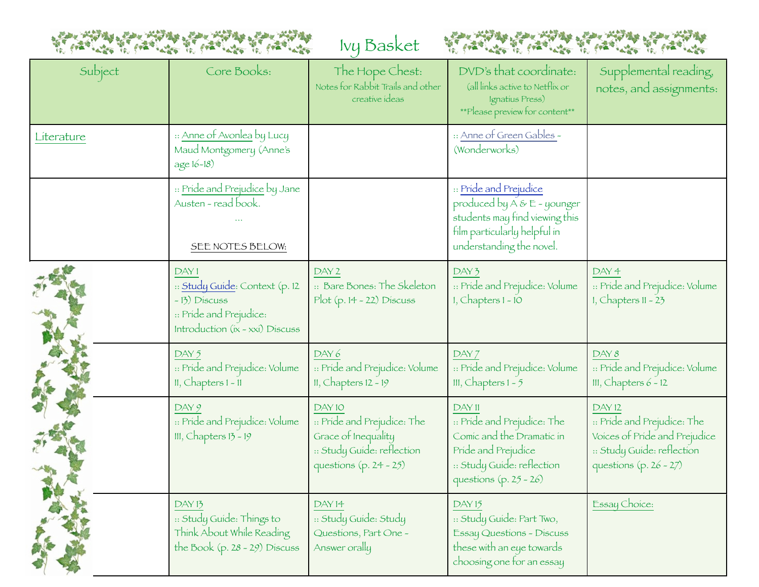



| Subject    | Core Books:                                                                                                          | The Hope Chest:<br>Notes for Rabbit Trails and other<br>creative ideas                                               | DVD's that coordinate:<br>(all links active to Netflix or<br>Ignatius Press)<br>**Please preview for content**                                         | Supplemental reading,<br>notes, and assignments:                                                                                 |
|------------|----------------------------------------------------------------------------------------------------------------------|----------------------------------------------------------------------------------------------------------------------|--------------------------------------------------------------------------------------------------------------------------------------------------------|----------------------------------------------------------------------------------------------------------------------------------|
| Literature | :: <u>Anne of Avonlea</u> by Lucy<br>Maud Montgomery (Anne's<br>age 16-18)                                           |                                                                                                                      | :: Anne of Green Gables -<br>(Wonderworks)                                                                                                             |                                                                                                                                  |
|            | :: Pride and Prejudice by Jane<br>Austen - read book.<br>SEE NOTES BELOW:                                            |                                                                                                                      | :: Pride and Prejudice<br>produced by $A \& E$ - younger<br>students may find viewing this<br>film particularly helpful in<br>understanding the novel. |                                                                                                                                  |
|            | DAY1<br>:: Study Guide: Context (p. 12<br>-13) Discuss<br>:: Pride and Prejudice:<br>Introduction (ix - xxi) Discuss | DAY <sub>2</sub><br>:: Bare Bones: The Skeleton<br>Plot (p. 14 - 22) Discuss                                         | DAY 3<br>:: Pride and Prejudice: Volume<br>$1,$ Chapters $1 - 10$                                                                                      | DAY 4<br>:: Pride and Prejudice: Volume<br>$1,$ Chapters $11 - 23$                                                               |
|            | DAY 5<br>:: Pride and Prejudice: Volume<br>$II, Chapters 1 - 11$                                                     | DAY 6<br>:: Pride and Prejudice: Volume<br>$II, Chapters 12 - 19$                                                    | DAY 7<br>:: Pride and Prejudice: Volume<br>III, Chapters $1 - 5$                                                                                       | DAY 8<br>:: Pride and Prejudice: Volume<br>III, Chapters $6 - 12$                                                                |
|            | DAY9<br>:: Pride and Prejudice: Volume<br>III, Chapters $13 - 19$                                                    | DAY 10<br>:: Pride and Prejudice: The<br>Grace of Inequality<br>:: Study Guide: reflection<br>questions (p. 24 - 25) | DAY 11<br>:: Pride and Prejudice: The<br>Comic and the Dramatic in<br>Pride and Prejudice<br>:: Study Guide: reflection<br>questions $(p. 25 - 26)$    | DAY 12<br>:: Pride and Prejudice: The<br>Voices of Pride and Prejudice<br>:: Study Guide: reflection<br>questions $(p. 26 - 27)$ |
|            | DAY <sub>13</sub><br>:: Study Guide: Things to<br>Think About While Reading<br>the Book (p. 28 - 29) Discuss         | DAY 14<br>:: Study Guide: Study<br>Questions, Part One -<br>Answer orally                                            | DAY <sub>15</sub><br>:: Study Guide: Part Two,<br>Essay Questions - Discuss<br>these with an eye towards<br>choosing one for an essay                  | Essay Choice:                                                                                                                    |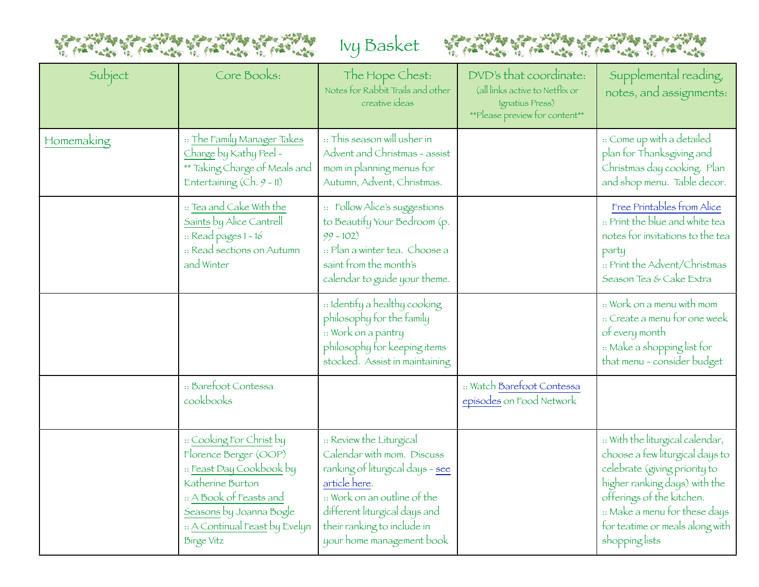



| Subject    | Core Books:                                                                                                                                                                                                    | The Hope Chest:<br>Notes for Rabbit Trails and other<br>creative ideas                                                                                                                                                                   | DVD's that coordinate:<br>(all links active to Netflix or<br>Ignatius Press)<br>**Please preview for content** | Supplemental reading,<br>notes, and assignments:                                                                                                                                                                                                         |
|------------|----------------------------------------------------------------------------------------------------------------------------------------------------------------------------------------------------------------|------------------------------------------------------------------------------------------------------------------------------------------------------------------------------------------------------------------------------------------|----------------------------------------------------------------------------------------------------------------|----------------------------------------------------------------------------------------------------------------------------------------------------------------------------------------------------------------------------------------------------------|
| Homemaking | :: The Family Manager Takes<br>Charge by Kathy Peel -<br>** Taking Charge of Meals and<br>Entertaining (Ch. 9 - 11)                                                                                            | :: This season will usher in<br>Advent and Christmas - assist<br>mom in planning menus for<br>Autumn, Advent, Christmas.                                                                                                                 |                                                                                                                | :: Come up with a detailed<br>plan for Thanksgiving and<br>Christmas day cooking. Plan<br>and shop menu. Table decor.                                                                                                                                    |
|            | :: Tea and Cake With the<br>Saints by Alice Cantrell<br>$::$ Read pages $1 - 16$<br>:: Read sections on Autumn<br>and Winter                                                                                   | :: Follow Alice's suggestions<br>to Beautify Your Bedroom (p.<br>$99 - 102$<br>: Plan a winter tea. Choose a<br>saint from the month's<br>calendar to guide your theme.                                                                  |                                                                                                                | Free Printables from Alice<br>:: Print the blue and white tea<br>notes for invitations to the tea<br>party<br>:: Print the Advent/Christmas<br>Season Tea & Cake Extra                                                                                   |
|            |                                                                                                                                                                                                                | :: Identify a healthy cooking<br>philosophy for the family<br>:: Work on a pantry<br>philosophy for keeping items<br>stocked. Assist in maintaining                                                                                      |                                                                                                                | :: Work on a menu with mom<br>:: Create a menu for one week<br>of every month<br>Make a shopping list for<br>that menu - consider budget                                                                                                                 |
|            | :: Barefoot Contessa<br>cookbooks                                                                                                                                                                              |                                                                                                                                                                                                                                          | :: Watch Barefoot Contessa<br>episodes on Food Network                                                         |                                                                                                                                                                                                                                                          |
|            | :: Cooking For Christ by<br>Florence Berger (OOP)<br>:: Feast Day Cookbook by<br>Katherine Burton<br>:: A Book of Feasts and<br>Seasons by Joanna Bogle<br>:: A Continual Feast by Evelyn<br><b>Birge Vitz</b> | :: Review the Liturgical<br>Calendar with mom. Discuss<br>ranking of liturgical days - see<br>article here.<br>:: Work on an outline of the<br>different liturgical days and<br>their ranking to include in<br>your home management book |                                                                                                                | .: With the liturgical calendar,<br>choose a few liturgical days to<br>celebrate (giving priority to<br>higher ranking days) with the<br>offerings of the kitchen.<br>:: Make a menu for these days<br>for teatime or meals along with<br>shopping lists |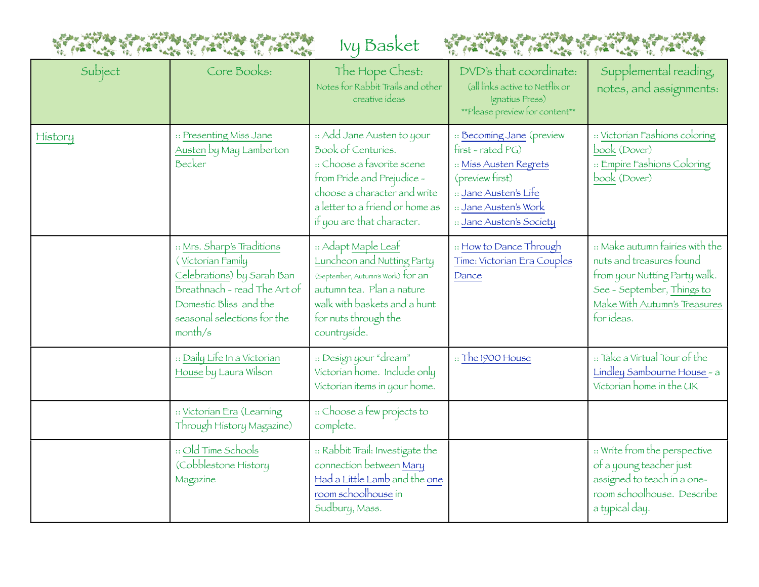



| Subject | Core Books:                                                                                                                                                                       | The Hope Chest:<br>Notes for Rabbit Trails and other<br>creative ideas                                                                                                                                        | DVD's that coordinate:<br>(all links active to Netflix or<br>Ignatius Press)<br>**Please preview for content**                                                            | Supplemental reading,<br>notes, and assignments:                                                                                                                         |
|---------|-----------------------------------------------------------------------------------------------------------------------------------------------------------------------------------|---------------------------------------------------------------------------------------------------------------------------------------------------------------------------------------------------------------|---------------------------------------------------------------------------------------------------------------------------------------------------------------------------|--------------------------------------------------------------------------------------------------------------------------------------------------------------------------|
| History | :: Presenting Miss Jane<br>Austen by May Lamberton<br>Becker                                                                                                                      | :: Add Jane Austen to your<br>Book of Centuries.<br>:: Choose a favorite scene<br>from Pride and Prejudice -<br>choose a character and write<br>a letter to a friend or home as<br>if you are that character. | :: Becoming Jane (preview<br>first - rated PG)<br>:: Miss Austen Regrets<br>(preview first)<br>:: Jane Austen's Life<br>:: Jane Austen's Work<br>:: Jane Austen's Society | :: Victorian Fashions coloring<br>book (Dover)<br>:: Empire Fashions Coloring<br>book (Dover)                                                                            |
|         | :: Mrs. Sharp's Traditions<br>(Victorian Family<br>Celebrations) by Sarah Ban<br>Breathnach - read The Art of<br>Domestic Bliss and the<br>seasonal selections for the<br>month/s | :: Adapt Maple Leaf<br>Luncheon and Nutting Party<br>(September, Autumn's Work) for an<br>autumn tea. Plan a nature<br>walk with baskets and a hunt<br>for nuts through the<br>countryside.                   | :: How to Dance Through<br>Time: Victorian Era Couples<br>Dance                                                                                                           | :: Make autumn fairies with the<br>nuts and treasures found<br>from your Nutting Party walk.<br>See - September, Things to<br>Make With Autumn's Treasures<br>for ideas. |
|         | :: Daily Life In a Victorian<br>House by Laura Wilson                                                                                                                             | :: Design your "dream"<br>Victorian home. Include only<br>Victorian items in your home.                                                                                                                       | $\therefore$ The 1900 House                                                                                                                                               | :: Take a Virtual Tour of the<br>Lindley Sambourne House - a<br>Victorian home in the UK                                                                                 |
|         | :: Victorian Era (Learning<br>Through History Magazine)                                                                                                                           | :: Choose a few projects to<br>complete.                                                                                                                                                                      |                                                                                                                                                                           |                                                                                                                                                                          |
|         | :: Old Time Schools<br>(Cobblestone History<br>Magazine                                                                                                                           | :: Rabbit Trail: Investigate the<br>connection between Mary<br>Had a Little Lamb and the one<br>room schoolhouse in<br>Sudbury, Mass.                                                                         |                                                                                                                                                                           | :: Write from the perspective<br>of a young teacher just<br>assigned to teach in a one-<br>room schoolhouse. Describe<br>a typical day.                                  |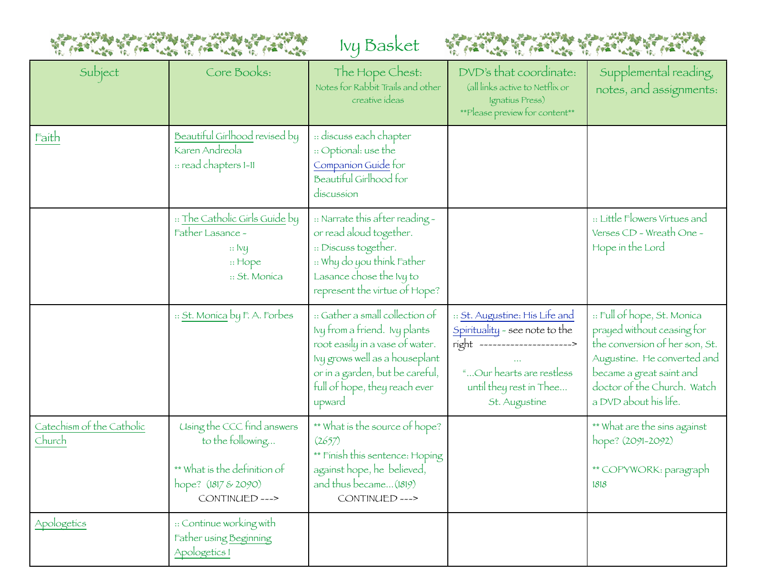



| Subject                             | Core Books:                                                                                                             | The Hope Chest:<br>Notes for Rabbit Trails and other<br>creative ideas                                                                                                                                              | DVD's that coordinate:<br>(all links active to Netflix or<br>Ignatius Press)<br>**Please preview for content**                                                             | Supplemental reading,<br>notes, and assignments:                                                                                                                                                               |
|-------------------------------------|-------------------------------------------------------------------------------------------------------------------------|---------------------------------------------------------------------------------------------------------------------------------------------------------------------------------------------------------------------|----------------------------------------------------------------------------------------------------------------------------------------------------------------------------|----------------------------------------------------------------------------------------------------------------------------------------------------------------------------------------------------------------|
| Faith                               | Beautiful Girlhood revised by<br>Karen Andreola<br>:: read chapters 1-11                                                | :: discuss each chapter<br>:: Optional: use the<br>Companion Guide for<br>Beautiful Girlhood for<br>discussion                                                                                                      |                                                                                                                                                                            |                                                                                                                                                                                                                |
|                                     | :: The Catholic Girls Guide by<br>Father Lasance -<br>$\therefore$ Ivy<br>$::$ Hope<br>:: St. Monica                    | :: Narrate this after reading -<br>or read aloud together.<br>:: Discuss together.<br>:: Why do you think Father<br>Lasance chose the Ivy to<br>represent the virtue of Hope?                                       |                                                                                                                                                                            | :: Little Flowers Virtues and<br>Verses CD - Wreath One -<br>Hope in the Lord                                                                                                                                  |
|                                     | :: St. Monica by F. A. Forbes                                                                                           | :: Gather a small collection of<br>Ivy from a friend. Ivy plants<br>root easily in a vase of water.<br>Ivy grows well as a houseplant<br>or in a garden, but be careful,<br>full of hope, they reach ever<br>upward | :: St. Augustine: His Life and<br>Spirituality - see note to the<br>right ------------------------<br>"Our hearts are restless<br>until they rest in Thee<br>St. Augustine | :: Full of hope, St. Monica<br>prayed without ceasing for<br>the conversion of her son, St.<br>Augustine. He converted and<br>became a great saint and<br>doctor of the Church. Watch<br>a DVD about his life. |
| Catechism of the Catholic<br>Church | Using the CCC find answers<br>to the following<br>** What is the definition of<br>hope? (1817 & 2090)<br>CONTINUED ---> | ** What is the source of hope?<br>(2657)<br>** Finish this sentence: Hoping<br>against hope, he believed,<br>and thus became (1819)<br>CONTINUED --->                                                               |                                                                                                                                                                            | ** What are the sins against<br>hope? (2091-2092)<br>** COPYWORK: paragraph<br>1818                                                                                                                            |
| Apologetics                         | :: Continue working with<br>Father using Beginning<br>Apologetics I                                                     |                                                                                                                                                                                                                     |                                                                                                                                                                            |                                                                                                                                                                                                                |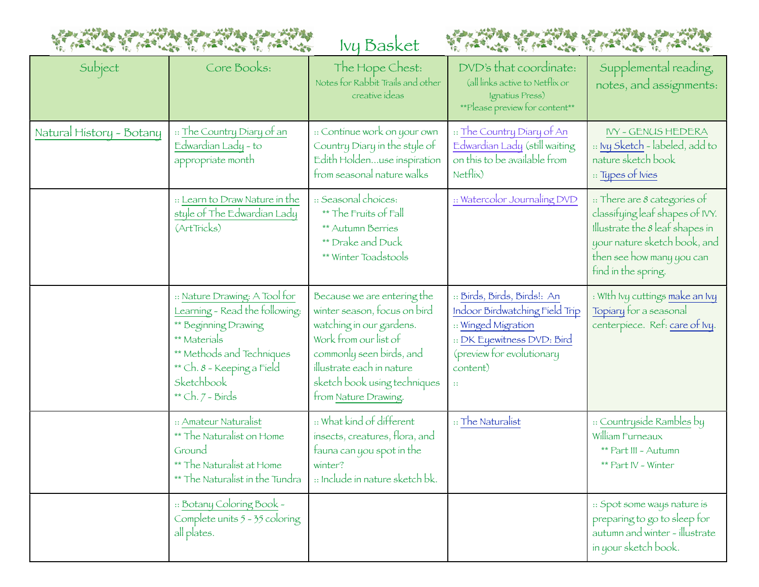



| Subject                  | Core Books:                                                                                                                                                                                          | The Hope Chest:<br>Notes for Rabbit Trails and other<br>creative ideas                                                                                                                                                            | DVD's that coordinate:<br>(all links active to Netflix or<br>Ignatius Press)<br>**Please preview for content**                                              | Supplemental reading,<br>notes, and assignments:                                                                                                                                                   |
|--------------------------|------------------------------------------------------------------------------------------------------------------------------------------------------------------------------------------------------|-----------------------------------------------------------------------------------------------------------------------------------------------------------------------------------------------------------------------------------|-------------------------------------------------------------------------------------------------------------------------------------------------------------|----------------------------------------------------------------------------------------------------------------------------------------------------------------------------------------------------|
| Natural History - Botany | :: The Country Diary of an<br>Edwardían Lady - to<br>appropriate month                                                                                                                               | :: Continue work on your own<br>Country Diary in the style of<br>Edith Holdenuse inspiration<br>from seasonal nature walks                                                                                                        | :: The Country Diary of An<br>Edwardian Lady (still waiting<br>on this to be available from<br>Netfix)                                                      | <b>IVY - GENUS HEDERA</b><br>:: Ivy Sketch - labeled, add to<br>nature sketch book<br>:: Types of Ivies                                                                                            |
|                          | :: Learn to Draw Nature in the<br>style of The Edwardian Lady<br>(ArtTricks)                                                                                                                         | :: Seasonal choices:<br>** The Fruits of Fall<br>** Autumn Berries<br>** Drake and Duck<br>** Winter Toadstools                                                                                                                   | :: Watercolor Journaling DVD                                                                                                                                | $\therefore$ There are 8 categories of<br>classifying leaf shapes of IVY.<br>Illustrate the $8$ leaf shapes in<br>your nature sketch book, and<br>then see how many you can<br>find in the spring. |
|                          | :: Nature Drawing: A Tool for<br>Learning - Read the following:<br>** Beginning Drawing<br>** Materials<br>** Methods and Techniques<br>** Ch. 8 - Keeping a Field<br>Sketchbook<br>** Ch. 7 - Birds | Because we are entering the<br>winter season, focus on bird<br>watching in our gardens.<br>Work from our list of<br>commonly seen birds, and<br>illustrate each in nature<br>sketch book using techniques<br>from Nature Drawing. | :: Birds, Birds, Birds!: An<br>Indoor Birdwatching Field Trip<br>:: Winged Migration<br>:: DK Eyewitness DVD: Bird<br>(preview for evolutionary<br>content) | : With Ivy cuttings make an Ivy<br>Topiary for a seasonal<br>centerpiece. Ref: care of Ivy.                                                                                                        |
|                          | :: Amateur Naturalist<br>** The Naturalist on Home<br>Ground<br>** The Naturalist at Home<br>** The Naturalist in the Tundra                                                                         | :: What kind of different<br>insects, creatures, flora, and<br>fauna can you spot in the<br>winter?<br>:: Include in nature sketch bk.                                                                                            | :: The Naturalist                                                                                                                                           | :: Countryside Rambles by<br>William Furneaux<br>** Part III - Autumn<br>** Part IV - Winter                                                                                                       |
|                          | :: Botany Coloring Book -<br>Complete units 5 - 35 coloring<br>all plates.                                                                                                                           |                                                                                                                                                                                                                                   |                                                                                                                                                             | :: Spot some ways nature is<br>preparing to go to sleep for<br>autumn and winter - illustrate<br>in your sketch book.                                                                              |